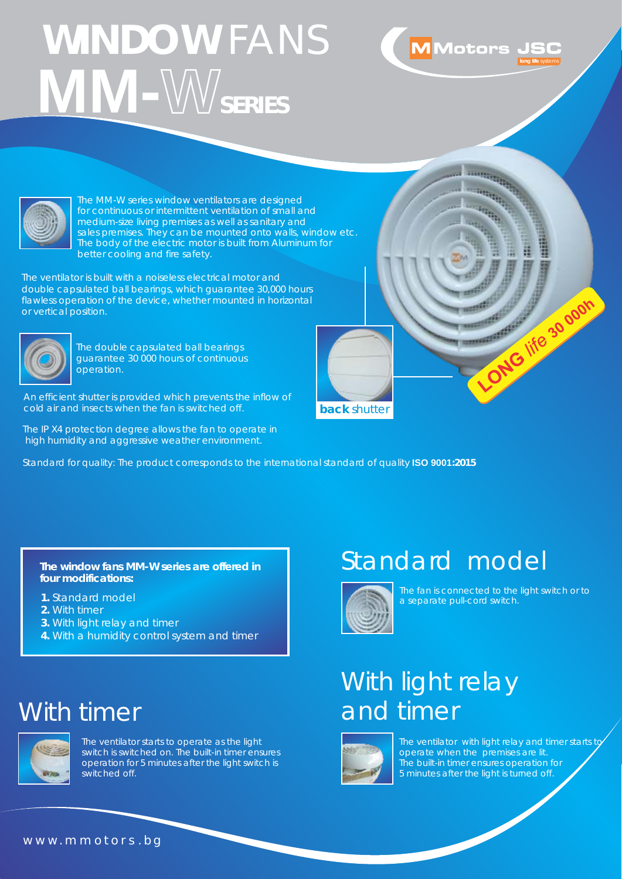# **WINDOW** FANS  **MM-WSERIES**





 The MM-W series window ventilators are designed for continuous or intermittent ventilation of small and medium-size living premises as well as sanitary and sales premises. They can be mounted onto walls, window etc. The body of the electric motor is built from Aluminum for better cooling and fire safety.

The ventilator is built with a noiseless electrical motor and double capsulated ball bearings, which guarantee 30,000 hours flawless operation of the device, whether mounted in horizontal or vertical position.



The double capsulated ball bearings guarantee 30 000 hours of continuous operation.

An efficient shutter is provided which prevents the inflow of cold air and insects when the fan is switched off.

The IP X4 protection degree allows the fan to operate in high humidity and aggressive weather environment.

Standard for quality: The product corresponds to the international standard of quality **ISO 9001:2015**

**The window fans MM-W series are offered in four modifications:**

- **1.** Standard model
- **2.** With timer
- **3.** With light relay and timer
- **4.** With a humidity control system and timer

### With timer



The ventilator starts to operate as the light switch is switched on. The built-in timer ensures operation for 5 minutes after the light switch is switched off.

### Standard model



**back** shutter

The fan is connected to the light switch or to a separate pull-cord switch.

LONG life 30 goon

## With light relay and timer



The ventilator with light relay and timer starts to operate when the premises are lit. The built-in timer ensures operation for 5 minutes after the light is turned off.

#### www.mmotors.bg